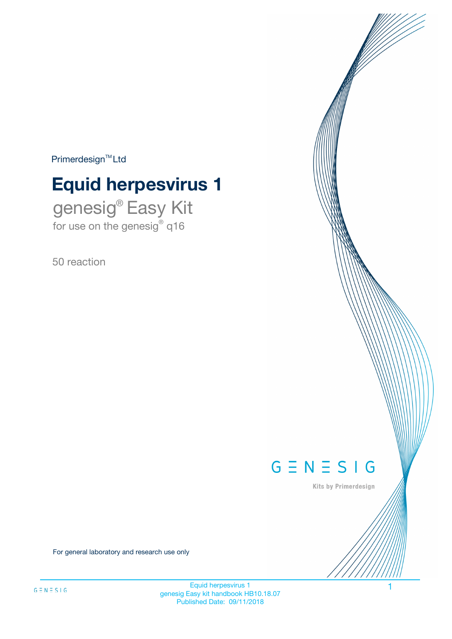$Primerdesign^{\text{TM}}Ltd$ 

# **Equid herpesvirus 1**

genesig® Easy Kit for use on the genesig® q16

50 reaction



Kits by Primerdesign

For general laboratory and research use only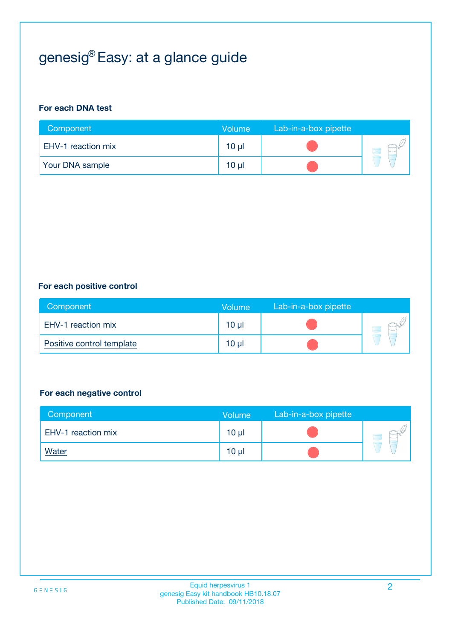# genesig® Easy: at a glance guide

#### **For each DNA test**

| Component              | <b>Volume</b> | Lab-in-a-box pipette |  |
|------------------------|---------------|----------------------|--|
| EHV-1 reaction mix     | 10 µl         |                      |  |
| <b>Your DNA sample</b> | $10 \mu$      |                      |  |

#### **For each positive control**

| Component                 | Volume   | Lab-in-a-box pipette |  |
|---------------------------|----------|----------------------|--|
| EHV-1 reaction mix        | $10 \mu$ |                      |  |
| Positive control template | $10 \mu$ |                      |  |

#### **For each negative control**

| Component          | Volume          | Lab-in-a-box pipette |  |
|--------------------|-----------------|----------------------|--|
| EHV-1 reaction mix | 10 <sub>µ</sub> |                      |  |
| <b>Water</b>       | 10 <sub>µ</sub> |                      |  |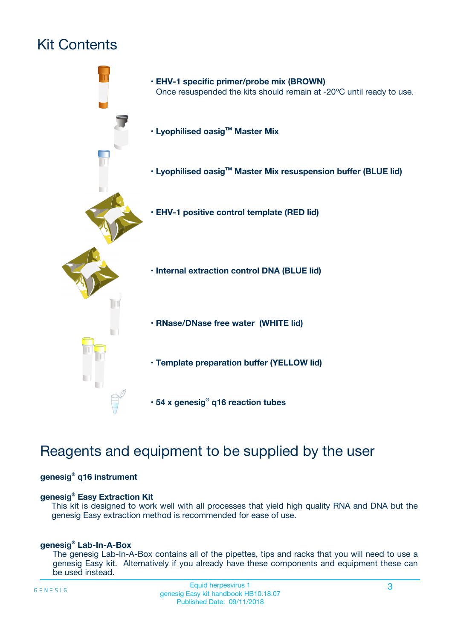# Kit Contents



## Reagents and equipment to be supplied by the user

#### **genesig® q16 instrument**

#### **genesig® Easy Extraction Kit**

This kit is designed to work well with all processes that yield high quality RNA and DNA but the genesig Easy extraction method is recommended for ease of use.

#### **genesig® Lab-In-A-Box**

The genesig Lab-In-A-Box contains all of the pipettes, tips and racks that you will need to use a genesig Easy kit. Alternatively if you already have these components and equipment these can be used instead.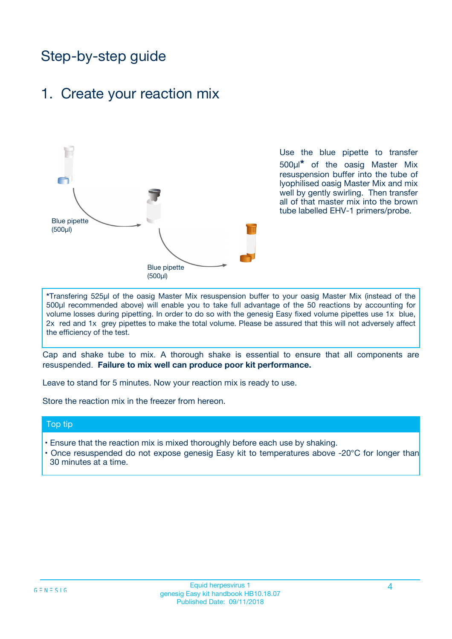## Step-by-step guide

### 1. Create your reaction mix



Use the blue pipette to transfer 500µl**\*** of the oasig Master Mix resuspension buffer into the tube of lyophilised oasig Master Mix and mix well by gently swirling. Then transfer all of that master mix into the brown tube labelled EHV-1 primers/probe.

**\***Transfering 525µl of the oasig Master Mix resuspension buffer to your oasig Master Mix (instead of the 500µl recommended above) will enable you to take full advantage of the 50 reactions by accounting for volume losses during pipetting. In order to do so with the genesig Easy fixed volume pipettes use 1x blue, 2x red and 1x grey pipettes to make the total volume. Please be assured that this will not adversely affect the efficiency of the test.

Cap and shake tube to mix. A thorough shake is essential to ensure that all components are resuspended. **Failure to mix well can produce poor kit performance.**

Leave to stand for 5 minutes. Now your reaction mix is ready to use.

Store the reaction mix in the freezer from hereon.

#### Top tip

- Ensure that the reaction mix is mixed thoroughly before each use by shaking.
- **•** Once resuspended do not expose genesig Easy kit to temperatures above -20°C for longer than 30 minutes at a time.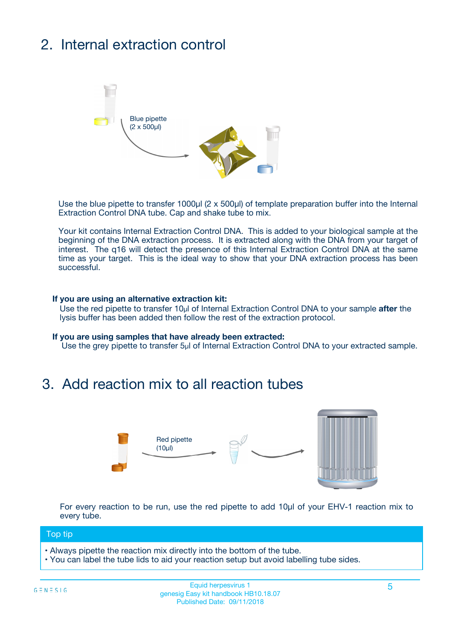# 2. Internal extraction control



Use the blue pipette to transfer 1000µl (2 x 500µl) of template preparation buffer into the Internal Extraction Control DNA tube. Cap and shake tube to mix.

Your kit contains Internal Extraction Control DNA. This is added to your biological sample at the beginning of the DNA extraction process. It is extracted along with the DNA from your target of interest. The q16 will detect the presence of this Internal Extraction Control DNA at the same time as your target. This is the ideal way to show that your DNA extraction process has been **successful.** 

#### **If you are using an alternative extraction kit:**

Use the red pipette to transfer 10µl of Internal Extraction Control DNA to your sample **after** the lysis buffer has been added then follow the rest of the extraction protocol.

#### **If you are using samples that have already been extracted:**

Use the grey pipette to transfer 5µl of Internal Extraction Control DNA to your extracted sample.

### 3. Add reaction mix to all reaction tubes



For every reaction to be run, use the red pipette to add 10µl of your EHV-1 reaction mix to every tube.

#### Top tip

- Always pipette the reaction mix directly into the bottom of the tube.
- You can label the tube lids to aid your reaction setup but avoid labelling tube sides.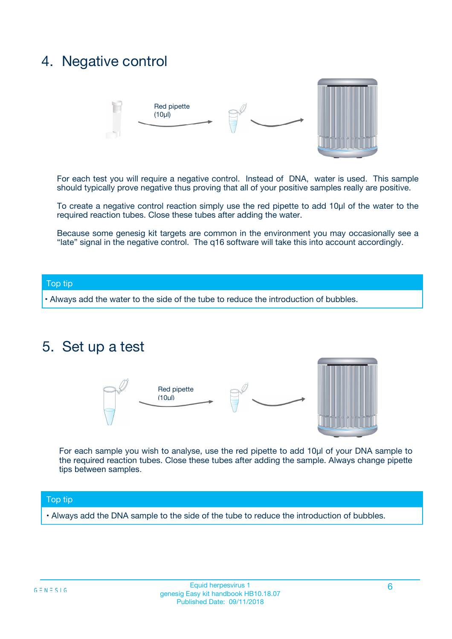## 4. Negative control



For each test you will require a negative control. Instead of DNA, water is used. This sample should typically prove negative thus proving that all of your positive samples really are positive.

To create a negative control reaction simply use the red pipette to add 10µl of the water to the required reaction tubes. Close these tubes after adding the water.

Because some genesig kit targets are common in the environment you may occasionally see a "late" signal in the negative control. The q16 software will take this into account accordingly.

#### Top tip

**•** Always add the water to the side of the tube to reduce the introduction of bubbles.

### 5. Set up a test



For each sample you wish to analyse, use the red pipette to add 10µl of your DNA sample to the required reaction tubes. Close these tubes after adding the sample. Always change pipette tips between samples.

#### Top tip

**•** Always add the DNA sample to the side of the tube to reduce the introduction of bubbles.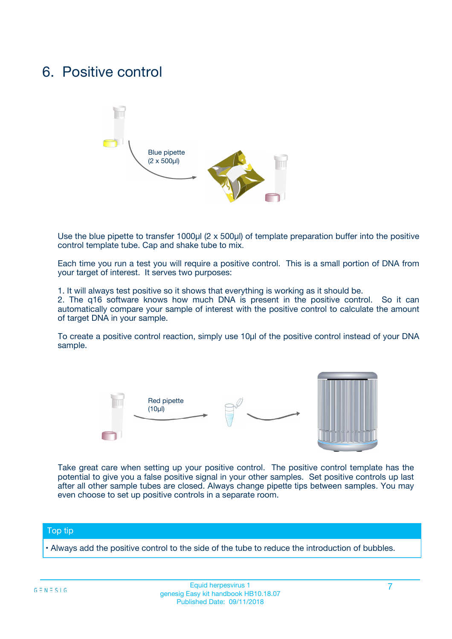## 6. Positive control



Use the blue pipette to transfer 1000µl (2 x 500µl) of template preparation buffer into the positive control template tube. Cap and shake tube to mix.

Each time you run a test you will require a positive control. This is a small portion of DNA from your target of interest. It serves two purposes:

1. It will always test positive so it shows that everything is working as it should be.

2. The q16 software knows how much DNA is present in the positive control. So it can automatically compare your sample of interest with the positive control to calculate the amount of target DNA in your sample.

To create a positive control reaction, simply use 10µl of the positive control instead of your DNA sample.



Take great care when setting up your positive control. The positive control template has the potential to give you a false positive signal in your other samples. Set positive controls up last after all other sample tubes are closed. Always change pipette tips between samples. You may even choose to set up positive controls in a separate room.

#### Top tip

**•** Always add the positive control to the side of the tube to reduce the introduction of bubbles.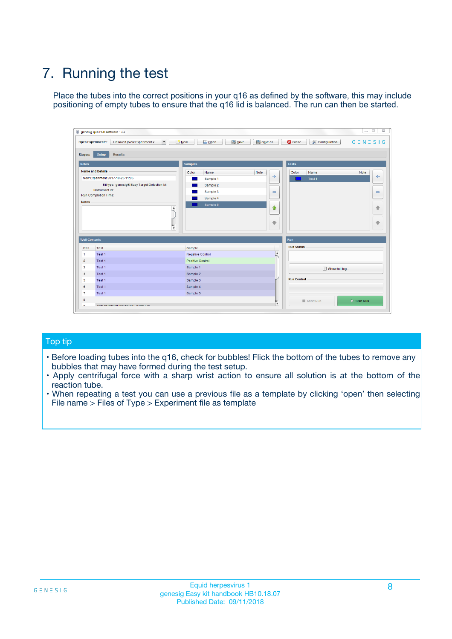# 7. Running the test

Place the tubes into the correct positions in your q16 as defined by the software, this may include positioning of empty tubes to ensure that the q16 lid is balanced. The run can then be started.

| qenesig q16 PCR software - 1.2                                               |                                   | $\Box$                                                                                          |
|------------------------------------------------------------------------------|-----------------------------------|-------------------------------------------------------------------------------------------------|
| $\vert \cdot \vert$<br>Unsaved (New Experiment 2<br><b>Open Experiments:</b> | <b>D</b> Open<br>R <sub>New</sub> | Save<br>Save As<br><b>C</b> Close<br><b>&amp; Configuration</b><br>$G \equiv N \equiv S \mid G$ |
| <b>Setup</b><br><b>Results</b><br>Stages:                                    |                                   |                                                                                                 |
| <b>Notes</b>                                                                 | <b>Samples</b>                    | <b>Tests</b>                                                                                    |
| <b>Name and Details</b>                                                      | Name<br>Color                     | Note<br>Color<br>Note<br>Name                                                                   |
| New Experiment 2017-10-26 11:06                                              | Sample 1                          | ÷<br>条<br>Test 1                                                                                |
| Kit type: genesig® Easy Target Detection kit                                 | Sample 2                          |                                                                                                 |
| Instrument Id.:                                                              | Sample 3                          | $\qquad \qquad \blacksquare$<br>$\qquad \qquad \blacksquare$                                    |
| <b>Run Completion Time:</b>                                                  | Sample 4                          |                                                                                                 |
| <b>Notes</b><br><b>A</b><br>$\overline{\mathbf v}$                           | Sample 5                          | ♦<br>4<br>÷<br>₩                                                                                |
| <b>Well Contents</b>                                                         |                                   | <b>Run</b>                                                                                      |
| Pos.<br>Test                                                                 | Sample                            | <b>Run Status</b>                                                                               |
| Test 1<br>$\blacktriangleleft$                                               | Negative Control                  | $\blacktriangle$                                                                                |
| $\overline{2}$<br>Test 1                                                     | <b>Positive Control</b>           |                                                                                                 |
| $\overline{\mathbf{3}}$<br>Test 1                                            | Sample 1                          | Show full log                                                                                   |
| Test 1<br>4                                                                  | Sample 2                          |                                                                                                 |
| 5<br>Test 1                                                                  | Sample 3                          | <b>Run Control</b>                                                                              |
| Test 1<br>6                                                                  | Sample 4                          |                                                                                                 |
| $\overline{7}$<br>Test 1                                                     | Sample 5                          |                                                                                                 |
| 8                                                                            |                                   | $\triangleright$ Start Run<br>Abort Run                                                         |
| <b>JOD FURTY TUDE TO BUILDED IN</b>                                          |                                   | $\overline{\mathbf{v}}$                                                                         |

#### Top tip

- Before loading tubes into the q16, check for bubbles! Flick the bottom of the tubes to remove any bubbles that may have formed during the test setup.
- Apply centrifugal force with a sharp wrist action to ensure all solution is at the bottom of the reaction tube.
- When repeating a test you can use a previous file as a template by clicking 'open' then selecting File name > Files of Type > Experiment file as template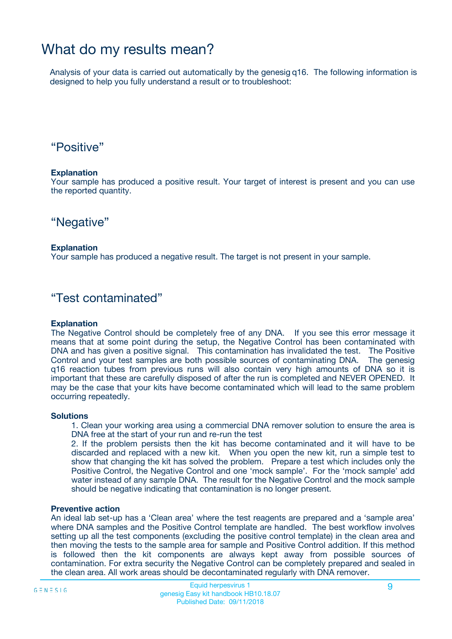## What do my results mean?

Analysis of your data is carried out automatically by the genesig q16. The following information is designed to help you fully understand a result or to troubleshoot:

### "Positive"

#### **Explanation**

Your sample has produced a positive result. Your target of interest is present and you can use the reported quantity.

"Negative"

#### **Explanation**

Your sample has produced a negative result. The target is not present in your sample.

### "Test contaminated"

#### **Explanation**

The Negative Control should be completely free of any DNA. If you see this error message it means that at some point during the setup, the Negative Control has been contaminated with DNA and has given a positive signal. This contamination has invalidated the test. The Positive Control and your test samples are both possible sources of contaminating DNA. The genesig q16 reaction tubes from previous runs will also contain very high amounts of DNA so it is important that these are carefully disposed of after the run is completed and NEVER OPENED. It may be the case that your kits have become contaminated which will lead to the same problem occurring repeatedly.

#### **Solutions**

1. Clean your working area using a commercial DNA remover solution to ensure the area is DNA free at the start of your run and re-run the test

2. If the problem persists then the kit has become contaminated and it will have to be discarded and replaced with a new kit. When you open the new kit, run a simple test to show that changing the kit has solved the problem. Prepare a test which includes only the Positive Control, the Negative Control and one 'mock sample'. For the 'mock sample' add water instead of any sample DNA. The result for the Negative Control and the mock sample should be negative indicating that contamination is no longer present.

#### **Preventive action**

An ideal lab set-up has a 'Clean area' where the test reagents are prepared and a 'sample area' where DNA samples and the Positive Control template are handled. The best workflow involves setting up all the test components (excluding the positive control template) in the clean area and then moving the tests to the sample area for sample and Positive Control addition. If this method is followed then the kit components are always kept away from possible sources of contamination. For extra security the Negative Control can be completely prepared and sealed in the clean area. All work areas should be decontaminated regularly with DNA remover.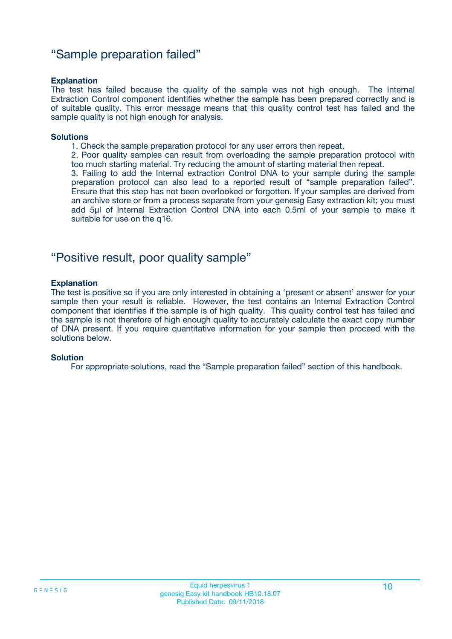### "Sample preparation failed"

#### **Explanation**

The test has failed because the quality of the sample was not high enough. The Internal Extraction Control component identifies whether the sample has been prepared correctly and is of suitable quality. This error message means that this quality control test has failed and the sample quality is not high enough for analysis.

#### **Solutions**

1. Check the sample preparation protocol for any user errors then repeat.

2. Poor quality samples can result from overloading the sample preparation protocol with too much starting material. Try reducing the amount of starting material then repeat.

3. Failing to add the Internal extraction Control DNA to your sample during the sample preparation protocol can also lead to a reported result of "sample preparation failed". Ensure that this step has not been overlooked or forgotten. If your samples are derived from an archive store or from a process separate from your genesig Easy extraction kit; you must add 5µl of Internal Extraction Control DNA into each 0.5ml of your sample to make it suitable for use on the q16.

### "Positive result, poor quality sample"

#### **Explanation**

The test is positive so if you are only interested in obtaining a 'present or absent' answer for your sample then your result is reliable. However, the test contains an Internal Extraction Control component that identifies if the sample is of high quality. This quality control test has failed and the sample is not therefore of high enough quality to accurately calculate the exact copy number of DNA present. If you require quantitative information for your sample then proceed with the solutions below.

#### **Solution**

For appropriate solutions, read the "Sample preparation failed" section of this handbook.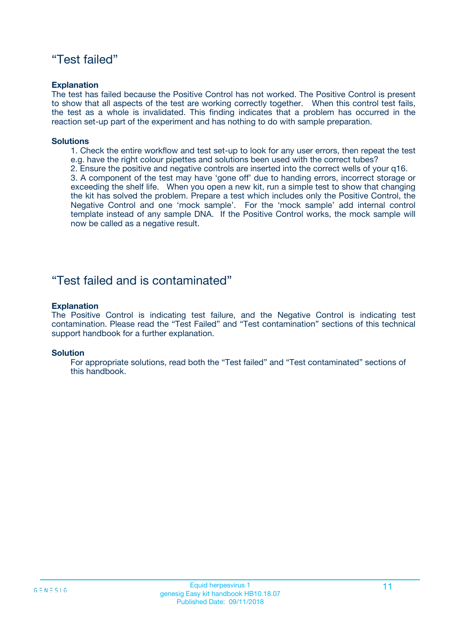### "Test failed"

#### **Explanation**

The test has failed because the Positive Control has not worked. The Positive Control is present to show that all aspects of the test are working correctly together. When this control test fails, the test as a whole is invalidated. This finding indicates that a problem has occurred in the reaction set-up part of the experiment and has nothing to do with sample preparation.

#### **Solutions**

- 1. Check the entire workflow and test set-up to look for any user errors, then repeat the test e.g. have the right colour pipettes and solutions been used with the correct tubes?
- 2. Ensure the positive and negative controls are inserted into the correct wells of your q16.

3. A component of the test may have 'gone off' due to handing errors, incorrect storage or exceeding the shelf life. When you open a new kit, run a simple test to show that changing the kit has solved the problem. Prepare a test which includes only the Positive Control, the Negative Control and one 'mock sample'. For the 'mock sample' add internal control template instead of any sample DNA. If the Positive Control works, the mock sample will now be called as a negative result.

### "Test failed and is contaminated"

#### **Explanation**

The Positive Control is indicating test failure, and the Negative Control is indicating test contamination. Please read the "Test Failed" and "Test contamination" sections of this technical support handbook for a further explanation.

#### **Solution**

For appropriate solutions, read both the "Test failed" and "Test contaminated" sections of this handbook.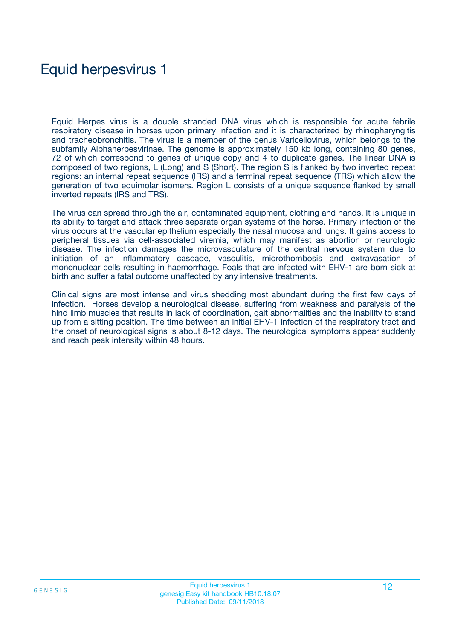## Equid herpesvirus 1

Equid Herpes virus is a double stranded DNA virus which is responsible for acute febrile respiratory disease in horses upon primary infection and it is characterized by rhinopharyngitis and tracheobronchitis. The virus is a member of the genus Varicellovirus, which belongs to the subfamily Alphaherpesvirinae. The genome is approximately 150 kb long, containing 80 genes, 72 of which correspond to genes of unique copy and 4 to duplicate genes. The linear DNA is composed of two regions, L (Long) and S (Short). The region S is flanked by two inverted repeat regions: an internal repeat sequence (IRS) and a terminal repeat sequence (TRS) which allow the generation of two equimolar isomers. Region L consists of a unique sequence flanked by small inverted repeats (IRS and TRS).

The virus can spread through the air, contaminated equipment, clothing and hands. It is unique in its ability to target and attack three separate organ systems of the horse. Primary infection of the virus occurs at the vascular epithelium especially the nasal mucosa and lungs. It gains access to peripheral tissues via cell-associated viremia, which may manifest as abortion or neurologic disease. The infection damages the microvasculature of the central nervous system due to initiation of an inflammatory cascade, vasculitis, microthombosis and extravasation of mononuclear cells resulting in haemorrhage. Foals that are infected with EHV-1 are born sick at birth and suffer a fatal outcome unaffected by any intensive treatments.

Clinical signs are most intense and virus shedding most abundant during the first few days of infection. Horses develop a neurological disease, suffering from weakness and paralysis of the hind limb muscles that results in lack of coordination, gait abnormalities and the inability to stand up from a sitting position. The time between an initial EHV-1 infection of the respiratory tract and the onset of neurological signs is about 8-12 days. The neurological symptoms appear suddenly and reach peak intensity within 48 hours.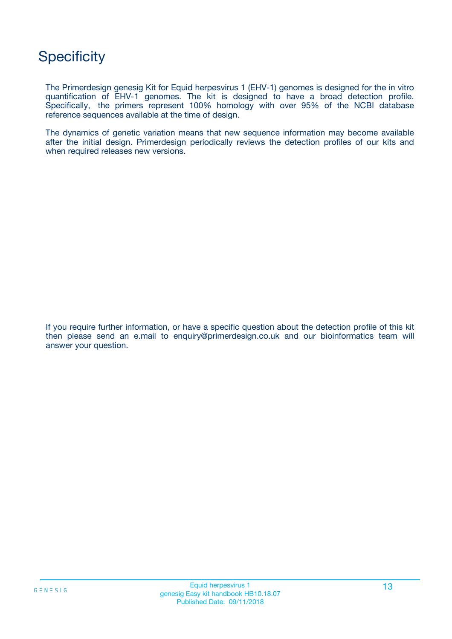## **Specificity**

The Primerdesign genesig Kit for Equid herpesvirus 1 (EHV-1) genomes is designed for the in vitro quantification of EHV-1 genomes. The kit is designed to have a broad detection profile. Specifically, the primers represent 100% homology with over 95% of the NCBI database reference sequences available at the time of design.

The dynamics of genetic variation means that new sequence information may become available after the initial design. Primerdesign periodically reviews the detection profiles of our kits and when required releases new versions.

If you require further information, or have a specific question about the detection profile of this kit then please send an e.mail to enquiry@primerdesign.co.uk and our bioinformatics team will answer your question.